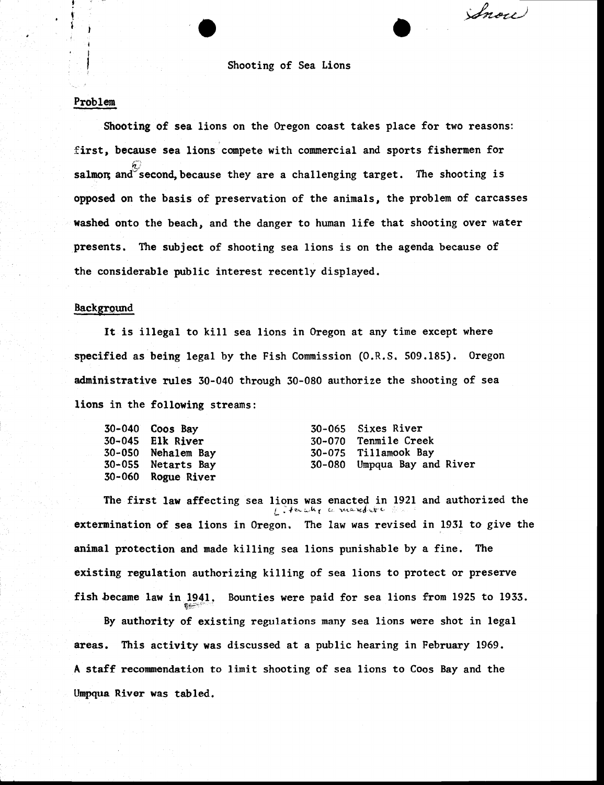#### Shooting of Sea Lions Shooting of Sea tions

Inou

### Problem Problen

! I I I

H

Shooting of sea lions on the Oregon coast takes place for two reasons: Shooting of sea lions on the Oregon coast takes place for two reasons: first, because sea lions compete with commercial and sports fishermen for salmon and second,because they are a challenging target. The shooting is opposed on the basis of preservation of the animals, the problem of carcasses washed onto the beach, and the danger to human life that shooting over water presents. The subject of shooting sea lions is on the agenda because of the considerable public interest recently displayed. the considerable public interest recently displayed. t) salmon and second, because they are a challenging target. The shooting is

# Background

It is illegal to kill sea lions in Oregon at any time except where specified as being legal by the Fish Commission (O.R.S. 509.185). Oregon administrative rules 30-040 through 30-080 authorize the shooting of sea adninistrative rules 30-040 through 30-080 authorize the shooting of sea lions in the following streams:

| $30-040$ Coos Bay  | 30-065 Sixes River          |
|--------------------|-----------------------------|
| 30-045 Elk River   | 30-070 Tenmile Creek        |
| 30-050 Nehalem Bay | 30-075 Tillamook Bay        |
| 30-055 Netarts Bay | 30-080 Umpqua Bay and River |
| 30-060 Rogue River |                             |

The first law affecting sea lions was enacted in 1921 and authorized the  $L$ . Herally a marder extermination of sea lions in Oregon. The law was revised in 1931 to give the extermination of sea lions in 0regon. fire law was revised in 1931 to give the animal protection and made killing sea lions punishable by a fine. The existing regulation authorizing killing of sea lions to protect or preserve existing tegulation authorizing killing of sea Lions to protect or presenre fish became law in 1941. Bounties were paid for sea lions from 1925 to 1933.

By authority of existing regulations many sea lions were shot in legal areas. This activity was discussed at a public hearing in February 1969. areas. This activity was discussed at a public hearing in February 1969. A staff recommendation to limit shooting of sea lions to Coos Bay and the Umpqua River was tabled.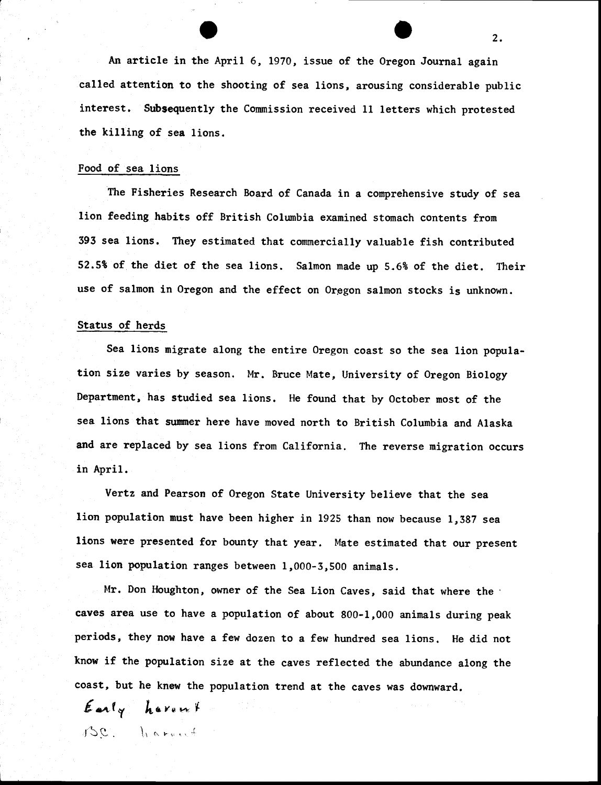An article in the April 6, 1970, issue of the Oregon Journal again called attention to the shooting of sea lions, arousing considerable public called attention to the shooting of sea lions, arousing considerable public interest. Subsequently the Commission received 11 letters which protested the killing of sea lions. the killing of sea lions.

#### Food of sea lions Food of sea lions

The Fisheries Research Board of Canada in a comprehensive study of sea fitter  $\frac{1}{2}$ lion feeding habits off British Columbia examined stomach contents from lion feeding hablts off British CoLunbia exanined stomach contents fron 393 sea lions. They estimated that commercially valuable fish contributed 52.5% of the diet of the sea lions. Salmon made up 5.6% of the diet. Their use of salmon in Oregon and the effect on Oregon salmon stocks is unknown. use of salnon in Oregon and the effect on Orggon salmon stocks is unknown.

# Status of herds

Sea lions migrate along the entire Oregon coast so the sea lion popula-Sea lions nigrate along the entire Oregon coast so the sea lion population size varies by season. Mr. Bruce Mate, University of Oregon Biology tion size varies by season. Mr. Bruce Mate, University of Oregon Biology Department, has studied sea lions. He found that by October most of the Departnent, has studied sea lions. He found that by October most of the sea lions that summer here have moved north to British Columbia and Alaska sea Lions that strmner here have noved north to British Colunbia and Alaska and are replaced by sea lions from California. The reverse migration occurs and are replaced by sea lions fron California. The reverse nigration occurs in April. in April.

Vertz and Pearson of Oregon State University believe that the sea Vertz and Pearson of Oregon State University believe that the sea lion population must have been higher in 1925 than now because 1,387 sea lions were presented for bounty that year. Mate estimated that our present sea lion population ranges between 1,000-3,500 animals.

Mr. Don Houghton, owner of the Sea Lion Caves, said that where the ' caves area use to have a population of about 800-1,000 animals during peak periods, they now have a few dozen to a few hundred sea lions. He did not periods, they now have a few dozen to a few hundred sea lions. He did not know if the population size at the caves reflected the abundance along the coast, but he knew the population trend at the caves was downward. coast, but he knew the population trend at the caves was downward,

Early harent  $\beta$ C. learning

. . 2. 2.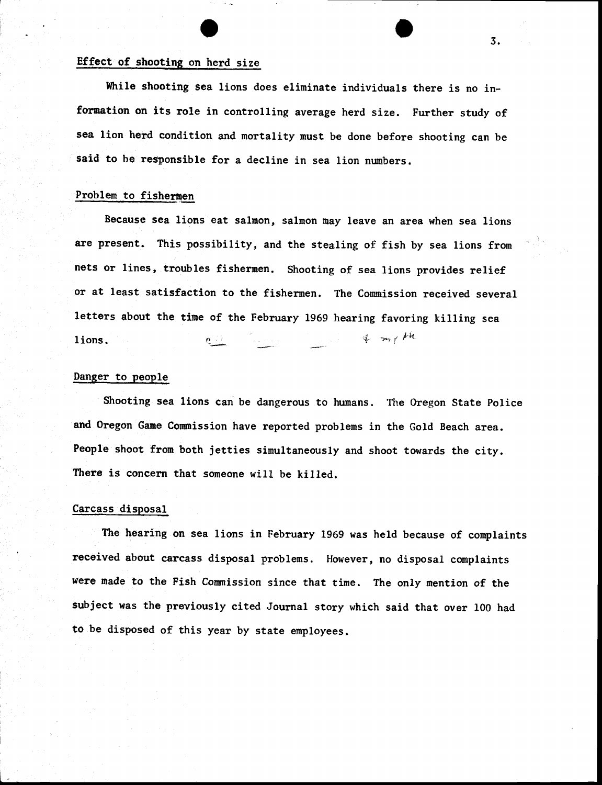## Effect of shooting on herd size Effect of shooting on herd size

While shooting sea lions does eliminate individuals there is no information on its role in controlling average herd size. Further study of fornation on its role in controlling average herd size. Further study of sea lion herd condition and mortality must be done before shooting can be sea lion herd condition and mortality nust be done before shooting can be said to be responsible for a decline in sea lion numbers.

# Problem to fishermen

Because sea lions eat salmon, salmon may leave an area when sea lions Because sea lions eat salnon, salmon nay leave an area when sea lions are present. This possibility, and the stealing of fish by sea lions from  $\hat{\phantom{a}}$ nets or lines, troubles fishermen. Shooting of sea lions provides relief nets or lines, ttoubles fishernen. Shooting of sea lions provides relief or at least satisfaction to the fishermen. The Commission received several letters about the time of the February 1969 hearing favoring killing sea lions.  $4$  my  $\mu$ 

### Danger to people

Shooting sea lions can be dangerous to humans, The Oregon State Police Shooting sea lions can be dangerous to hunans. The Oregon State Police and Oregon Game Commission have reported problems in the Gold Beach area. People shoot from both jetties simultaneously and shoot towards the city. People shoot frorn both jetties sinultaneously and shoot towards the city. There is concern that someone will be killed.

#### Carcass disposal Carcass disposal

The hearing on sea lions in February 1969 was held because of complaints The hearing on sea Lions in February 1969 was held because of complaints received about carcass disposal problems. However, no disposal complaints recelved about carcass disposal problens. However, no disposal complaints were made to the Fish Commission since that time. The only mention of the were nede to the Fish Connrission since that time. The only mention of the subject was the previously cited Journal story which said that over 100 had subject was the previously cited Journal story which said that over 100 had to be disposed of this year by state employees. to be disposed of this year by state empLoyees.